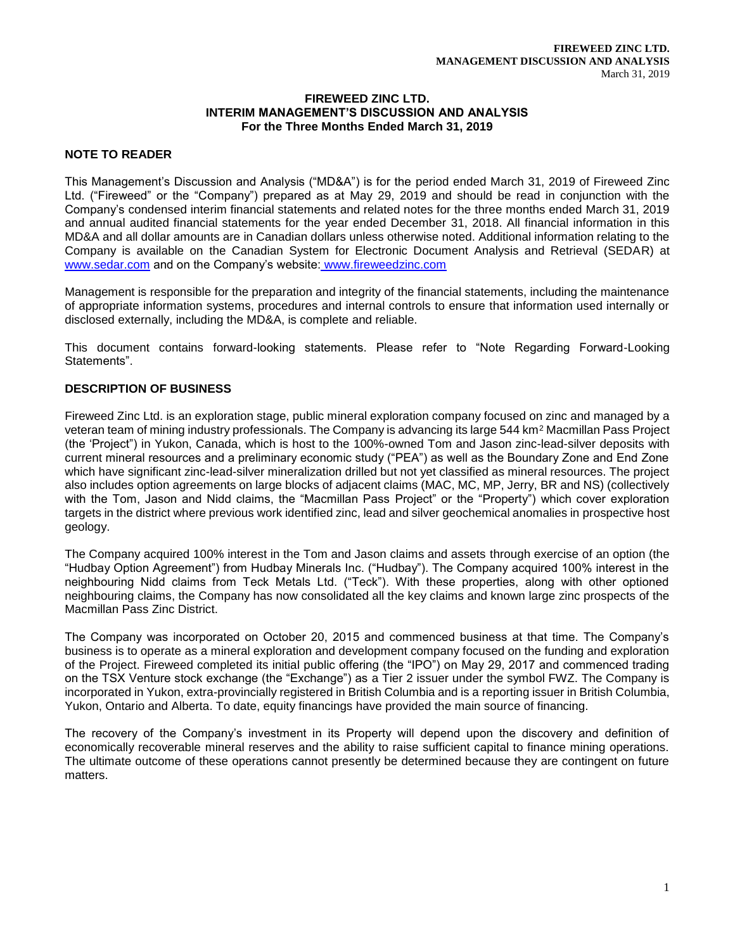#### **FIREWEED ZINC LTD. INTERIM MANAGEMENT'S DISCUSSION AND ANALYSIS For the Three Months Ended March 31, 2019**

# **NOTE TO READER**

This Management's Discussion and Analysis ("MD&A") is for the period ended March 31, 2019 of Fireweed Zinc Ltd. ("Fireweed" or the "Company") prepared as at May 29, 2019 and should be read in conjunction with the Company's condensed interim financial statements and related notes for the three months ended March 31, 2019 and annual audited financial statements for the year ended December 31, 2018. All financial information in this MD&A and all dollar amounts are in Canadian dollars unless otherwise noted. Additional information relating to the Company is available on the Canadian System for Electronic Document Analysis and Retrieval (SEDAR) at [www.sedar.com](http://www.sedar.com/) and on the Company's website: www.fireweedzinc.com

Management is responsible for the preparation and integrity of the financial statements, including the maintenance of appropriate information systems, procedures and internal controls to ensure that information used internally or disclosed externally, including the MD&A, is complete and reliable.

This document contains forward-looking statements. Please refer to "Note Regarding Forward-Looking Statements".

# **DESCRIPTION OF BUSINESS**

Fireweed Zinc Ltd. is an exploration stage, public mineral exploration company focused on zinc and managed by a veteran team of mining industry professionals. The Company is advancing its large 544 km<sup>2</sup> Macmillan Pass Project (the 'Project") in Yukon, Canada, which is host to the 100%-owned Tom and Jason zinc-lead-silver deposits with current mineral resources and a preliminary economic study ("PEA") as well as the Boundary Zone and End Zone which have significant zinc-lead-silver mineralization drilled but not yet classified as mineral resources. The project also includes option agreements on large blocks of adjacent claims (MAC, MC, MP, Jerry, BR and NS) (collectively with the Tom, Jason and Nidd claims, the "Macmillan Pass Project" or the "Property") which cover exploration targets in the district where previous work identified zinc, lead and silver geochemical anomalies in prospective host geology.

The Company acquired 100% interest in the Tom and Jason claims and assets through exercise of an option (the "Hudbay Option Agreement") from Hudbay Minerals Inc. ("Hudbay"). The Company acquired 100% interest in the neighbouring Nidd claims from Teck Metals Ltd. ("Teck"). With these properties, along with other optioned neighbouring claims, the Company has now consolidated all the key claims and known large zinc prospects of the Macmillan Pass Zinc District.

The Company was incorporated on October 20, 2015 and commenced business at that time. The Company's business is to operate as a mineral exploration and development company focused on the funding and exploration of the Project. Fireweed completed its initial public offering (the "IPO") on May 29, 2017 and commenced trading on the TSX Venture stock exchange (the "Exchange") as a Tier 2 issuer under the symbol FWZ. The Company is incorporated in Yukon, extra-provincially registered in British Columbia and is a reporting issuer in British Columbia, Yukon, Ontario and Alberta. To date, equity financings have provided the main source of financing.

The recovery of the Company's investment in its Property will depend upon the discovery and definition of economically recoverable mineral reserves and the ability to raise sufficient capital to finance mining operations. The ultimate outcome of these operations cannot presently be determined because they are contingent on future matters.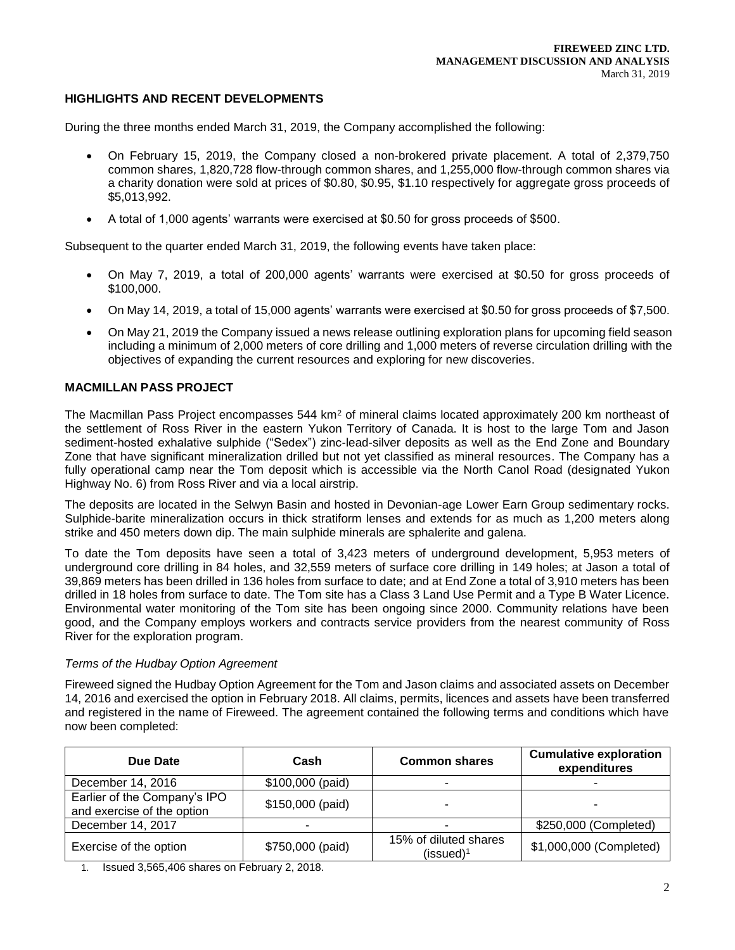# **HIGHLIGHTS AND RECENT DEVELOPMENTS**

During the three months ended March 31, 2019, the Company accomplished the following:

- On February 15, 2019, the Company closed a non-brokered private placement. A total of 2,379,750 common shares, 1,820,728 flow-through common shares, and 1,255,000 flow-through common shares via a charity donation were sold at prices of \$0.80, \$0.95, \$1.10 respectively for aggregate gross proceeds of \$5,013,992.
- A total of 1,000 agents' warrants were exercised at \$0.50 for gross proceeds of \$500.

Subsequent to the quarter ended March 31, 2019, the following events have taken place:

- On May 7, 2019, a total of 200,000 agents' warrants were exercised at \$0.50 for gross proceeds of \$100,000.
- On May 14, 2019, a total of 15,000 agents' warrants were exercised at \$0.50 for gross proceeds of \$7,500.
- On May 21, 2019 the Company issued a news release outlining exploration plans for upcoming field season including a minimum of 2,000 meters of core drilling and 1,000 meters of reverse circulation drilling with the objectives of expanding the current resources and exploring for new discoveries.

## **MACMILLAN PASS PROJECT**

The Macmillan Pass Project encompasses 544 km<sup>2</sup> of mineral claims located approximately 200 km northeast of the settlement of Ross River in the eastern Yukon Territory of Canada. It is host to the large Tom and Jason sediment-hosted exhalative sulphide ("Sedex") zinc-lead-silver deposits as well as the End Zone and Boundary Zone that have significant mineralization drilled but not yet classified as mineral resources. The Company has a fully operational camp near the Tom deposit which is accessible via the North Canol Road (designated Yukon Highway No. 6) from Ross River and via a local airstrip.

The deposits are located in the Selwyn Basin and hosted in Devonian-age Lower Earn Group sedimentary rocks. Sulphide-barite mineralization occurs in thick stratiform lenses and extends for as much as 1,200 meters along strike and 450 meters down dip. The main sulphide minerals are sphalerite and galena.

To date the Tom deposits have seen a total of 3,423 meters of underground development, 5,953 meters of underground core drilling in 84 holes, and 32,559 meters of surface core drilling in 149 holes; at Jason a total of 39,869 meters has been drilled in 136 holes from surface to date; and at End Zone a total of 3,910 meters has been drilled in 18 holes from surface to date. The Tom site has a Class 3 Land Use Permit and a Type B Water Licence. Environmental water monitoring of the Tom site has been ongoing since 2000. Community relations have been good, and the Company employs workers and contracts service providers from the nearest community of Ross River for the exploration program.

#### *Terms of the Hudbay Option Agreement*

Fireweed signed the Hudbay Option Agreement for the Tom and Jason claims and associated assets on December 14, 2016 and exercised the option in February 2018. All claims, permits, licences and assets have been transferred and registered in the name of Fireweed. The agreement contained the following terms and conditions which have now been completed:

| Due Date                                                   | Cash             | <b>Common shares</b>                           |                         |
|------------------------------------------------------------|------------------|------------------------------------------------|-------------------------|
| December 14, 2016                                          | \$100,000 (paid) |                                                |                         |
| Earlier of the Company's IPO<br>and exercise of the option | \$150,000 (paid) |                                                |                         |
| December 14, 2017                                          |                  |                                                | \$250,000 (Completed)   |
| Exercise of the option                                     | \$750,000 (paid) | 15% of diluted shares<br>(issued) <sup>1</sup> | \$1,000,000 (Completed) |

1. Issued 3,565,406 shares on February 2, 2018.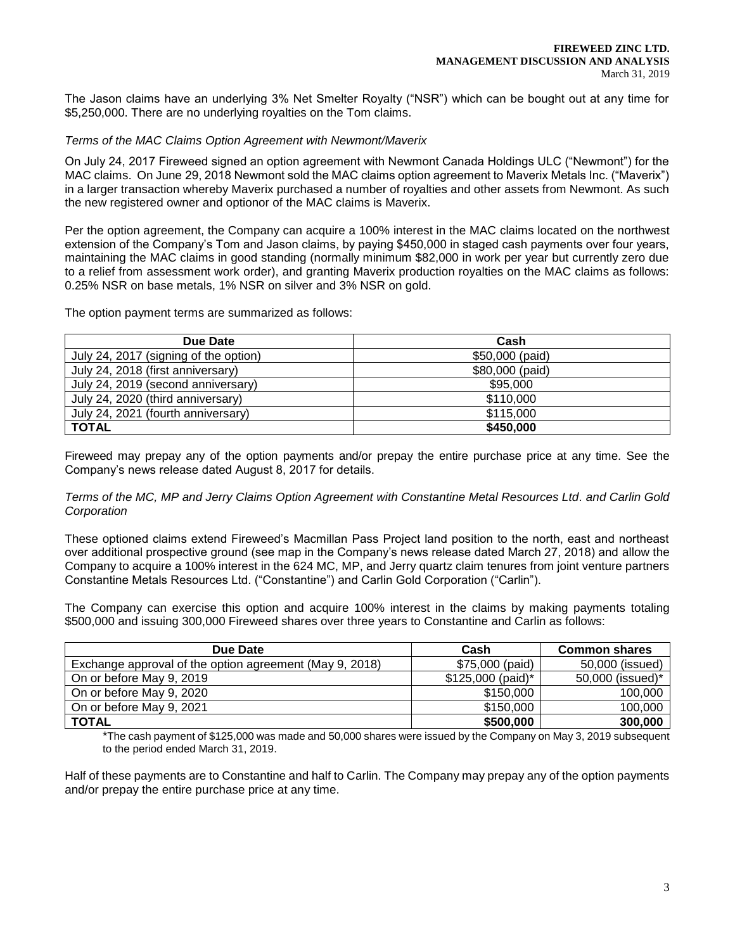The Jason claims have an underlying 3% Net Smelter Royalty ("NSR") which can be bought out at any time for \$5,250,000. There are no underlying royalties on the Tom claims.

#### *Terms of the MAC Claims Option Agreement with Newmont/Maverix*

On July 24, 2017 Fireweed signed an option agreement with Newmont Canada Holdings ULC ("Newmont") for the MAC claims. On June 29, 2018 Newmont sold the MAC claims option agreement to Maverix Metals Inc. ("Maverix") in a larger transaction whereby Maverix purchased a number of royalties and other assets from Newmont. As such the new registered owner and optionor of the MAC claims is Maverix.

Per the option agreement, the Company can acquire a 100% interest in the MAC claims located on the northwest extension of the Company's Tom and Jason claims, by paying \$450,000 in staged cash payments over four years, maintaining the MAC claims in good standing (normally minimum \$82,000 in work per year but currently zero due to a relief from assessment work order), and granting Maverix production royalties on the MAC claims as follows: 0.25% NSR on base metals, 1% NSR on silver and 3% NSR on gold.

The option payment terms are summarized as follows:

| Due Date                              | Cash            |
|---------------------------------------|-----------------|
| July 24, 2017 (signing of the option) | \$50,000 (paid) |
| July 24, 2018 (first anniversary)     | \$80,000 (paid) |
| July 24, 2019 (second anniversary)    | \$95,000        |
| July 24, 2020 (third anniversary)     | \$110,000       |
| July 24, 2021 (fourth anniversary)    | \$115,000       |
| <b>TOTAL</b>                          | \$450,000       |

Fireweed may prepay any of the option payments and/or prepay the entire purchase price at any time. See the Company's news release dated August 8, 2017 for details.

## *Terms of the MC, MP and Jerry Claims Option Agreement with Constantine Metal Resources Ltd. and Carlin Gold Corporation*

These optioned claims extend Fireweed's Macmillan Pass Project land position to the north, east and northeast over additional prospective ground (see map in the Company's news release dated March 27, 2018) and allow the Company to acquire a 100% interest in the 624 MC, MP, and Jerry quartz claim tenures from joint venture partners Constantine Metals Resources Ltd. ("Constantine") and Carlin Gold Corporation ("Carlin").

The Company can exercise this option and acquire 100% interest in the claims by making payments totaling \$500,000 and issuing 300,000 Fireweed shares over three years to Constantine and Carlin as follows:

| Due Date                                                | Cash              | <b>Common shares</b> |
|---------------------------------------------------------|-------------------|----------------------|
| Exchange approval of the option agreement (May 9, 2018) | \$75,000 (paid)   | 50,000 (issued)      |
| On or before May 9, 2019                                | \$125,000 (paid)* | 50,000 (issued)*     |
| On or before May 9, 2020                                | \$150,000         | 100,000              |
| On or before May 9, 2021                                | \$150,000         | 100,000              |
| <b>TOTAL</b>                                            | \$500,000         | 300,000              |

\*The cash payment of \$125,000 was made and 50,000 shares were issued by the Company on May 3, 2019 subsequent to the period ended March 31, 2019.

Half of these payments are to Constantine and half to Carlin. The Company may prepay any of the option payments and/or prepay the entire purchase price at any time.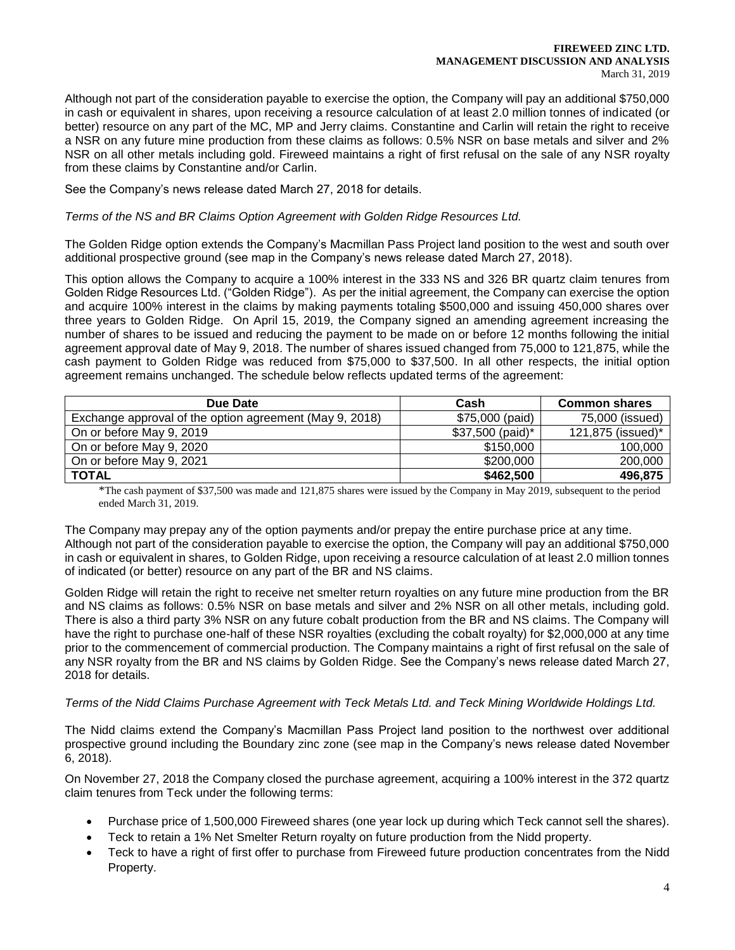#### **FIREWEED ZINC LTD. MANAGEMENT DISCUSSION AND ANALYSIS** March 31, 2019

Although not part of the consideration payable to exercise the option, the Company will pay an additional \$750,000 in cash or equivalent in shares, upon receiving a resource calculation of at least 2.0 million tonnes of indicated (or better) resource on any part of the MC, MP and Jerry claims. Constantine and Carlin will retain the right to receive a NSR on any future mine production from these claims as follows: 0.5% NSR on base metals and silver and 2% NSR on all other metals including gold. Fireweed maintains a right of first refusal on the sale of any NSR royalty from these claims by Constantine and/or Carlin.

See the Company's news release dated March 27, 2018 for details.

*Terms of the NS and BR Claims Option Agreement with Golden Ridge Resources Ltd.*

The Golden Ridge option extends the Company's Macmillan Pass Project land position to the west and south over additional prospective ground (see map in the Company's news release dated March 27, 2018).

This option allows the Company to acquire a 100% interest in the 333 NS and 326 BR quartz claim tenures from Golden Ridge Resources Ltd. ("Golden Ridge"). As per the initial agreement, the Company can exercise the option and acquire 100% interest in the claims by making payments totaling \$500,000 and issuing 450,000 shares over three years to Golden Ridge. On April 15, 2019, the Company signed an amending agreement increasing the number of shares to be issued and reducing the payment to be made on or before 12 months following the initial agreement approval date of May 9, 2018. The number of shares issued changed from 75,000 to 121,875, while the cash payment to Golden Ridge was reduced from \$75,000 to \$37,500. In all other respects, the initial option agreement remains unchanged. The schedule below reflects updated terms of the agreement:

| Due Date                                                | Cash             | <b>Common shares</b> |
|---------------------------------------------------------|------------------|----------------------|
| Exchange approval of the option agreement (May 9, 2018) | \$75,000 (paid)  | 75,000 (issued)      |
| On or before May 9, 2019                                | \$37,500 (paid)* | 121,875 (issued)*    |
| On or before May 9, 2020                                | \$150,000        | 100,000              |
| On or before May 9, 2021                                | \$200,000        | 200,000              |
| TOTAL                                                   | \$462,500        | 496,875              |

\*The cash payment of \$37,500 was made and 121,875 shares were issued by the Company in May 2019, subsequent to the period ended March 31, 2019.

The Company may prepay any of the option payments and/or prepay the entire purchase price at any time. Although not part of the consideration payable to exercise the option, the Company will pay an additional \$750,000 in cash or equivalent in shares, to Golden Ridge, upon receiving a resource calculation of at least 2.0 million tonnes of indicated (or better) resource on any part of the BR and NS claims.

Golden Ridge will retain the right to receive net smelter return royalties on any future mine production from the BR and NS claims as follows: 0.5% NSR on base metals and silver and 2% NSR on all other metals, including gold. There is also a third party 3% NSR on any future cobalt production from the BR and NS claims. The Company will have the right to purchase one-half of these NSR royalties (excluding the cobalt royalty) for \$2,000,000 at any time prior to the commencement of commercial production. The Company maintains a right of first refusal on the sale of any NSR royalty from the BR and NS claims by Golden Ridge. See the Company's news release dated March 27, 2018 for details.

## *Terms of the Nidd Claims Purchase Agreement with Teck Metals Ltd. and Teck Mining Worldwide Holdings Ltd.*

The Nidd claims extend the Company's Macmillan Pass Project land position to the northwest over additional prospective ground including the Boundary zinc zone (see map in the Company's news release dated November 6, 2018).

On November 27, 2018 the Company closed the purchase agreement, acquiring a 100% interest in the 372 quartz claim tenures from Teck under the following terms:

- Purchase price of 1,500,000 Fireweed shares (one year lock up during which Teck cannot sell the shares).
- Teck to retain a 1% Net Smelter Return royalty on future production from the Nidd property.
- Teck to have a right of first offer to purchase from Fireweed future production concentrates from the Nidd Property.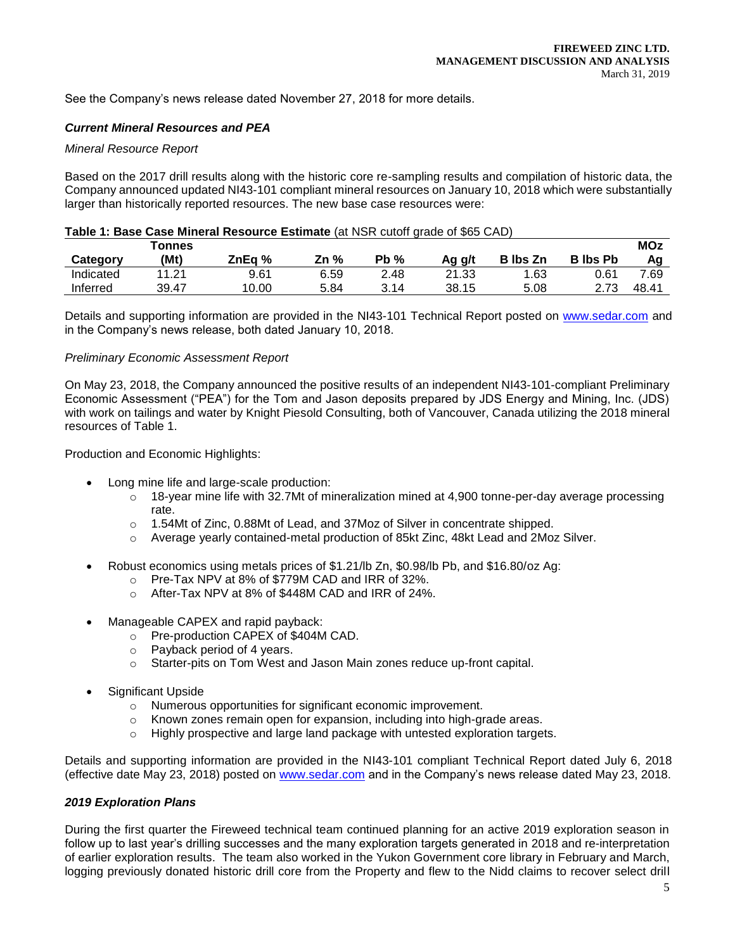See the Company's news release dated November 27, 2018 for more details.

# *Current Mineral Resources and PEA*

## *Mineral Resource Report*

Based on the 2017 drill results along with the historic core re-sampling results and compilation of historic data, the Company announced updated NI43-101 compliant mineral resources on January 10, 2018 which were substantially larger than historically reported resources. The new base case resources were:

## **Table 1: Base Case Mineral Resource Estimate** (at NSR cutoff grade of \$65 CAD)

|           | <b>Tonnes</b> |        |      |         |        |                 |                 | <b>MOz</b> |
|-----------|---------------|--------|------|---------|--------|-----------------|-----------------|------------|
| Category  | (Mt)          | ZnEa % | Zn % | Pb<br>% | Aq q/t | <b>B</b> Ibs Zn | <b>B</b> lbs Pb | Αa         |
| Indicated | 11.21         | 9.61   | 6.59 | 2.48    | 21.33  | 1.63            | 0.61            | 7.69       |
| Inferred  | 39.47         | 10.00  | 5.84 | 3.14    | 38.15  | 5.08            | 2.73            | 48.41      |

Details and supporting information are provided in the NI43-101 Technical Report posted on [www.sedar.com](http://www.sedar.com/) and in the Company's news release, both dated January 10, 2018.

#### *Preliminary Economic Assessment Report*

On May 23, 2018, the Company announced the positive results of an independent NI43-101-compliant Preliminary Economic Assessment ("PEA") for the Tom and Jason deposits prepared by JDS Energy and Mining, Inc. (JDS) with work on tailings and water by Knight Piesold Consulting, both of Vancouver, Canada utilizing the 2018 mineral resources of Table 1.

Production and Economic Highlights:

- Long mine life and large-scale production:
	- $\circ$  18-year mine life with 32.7Mt of mineralization mined at 4,900 tonne-per-day average processing rate.
	- o 1.54Mt of Zinc, 0.88Mt of Lead, and 37Moz of Silver in concentrate shipped.
	- o Average yearly contained-metal production of 85kt Zinc, 48kt Lead and 2Moz Silver.
- Robust economics using metals prices of \$1.21/lb Zn, \$0.98/lb Pb, and \$16.80/oz Ag:
	- o Pre-Tax NPV at 8% of \$779M CAD and IRR of 32%.
	- o After-Tax NPV at 8% of \$448M CAD and IRR of 24%.
- Manageable CAPEX and rapid payback:
	- o Pre-production CAPEX of \$404M CAD.
	- o Payback period of 4 years.
	- o Starter-pits on Tom West and Jason Main zones reduce up-front capital.
- Significant Upside
	- o Numerous opportunities for significant economic improvement.
	- o Known zones remain open for expansion, including into high-grade areas.
	- $\circ$  Highly prospective and large land package with untested exploration targets.

Details and supporting information are provided in the NI43-101 compliant Technical Report dated July 6, 2018 (effective date May 23, 2018) posted on [www.sedar.com](http://www.sedar.com/) and in the Company's news release dated May 23, 2018.

#### *2019 Exploration Plans*

During the first quarter the Fireweed technical team continued planning for an active 2019 exploration season in follow up to last year's drilling successes and the many exploration targets generated in 2018 and re-interpretation of earlier exploration results. The team also worked in the Yukon Government core library in February and March, logging previously donated historic drill core from the Property and flew to the Nidd claims to recover select drill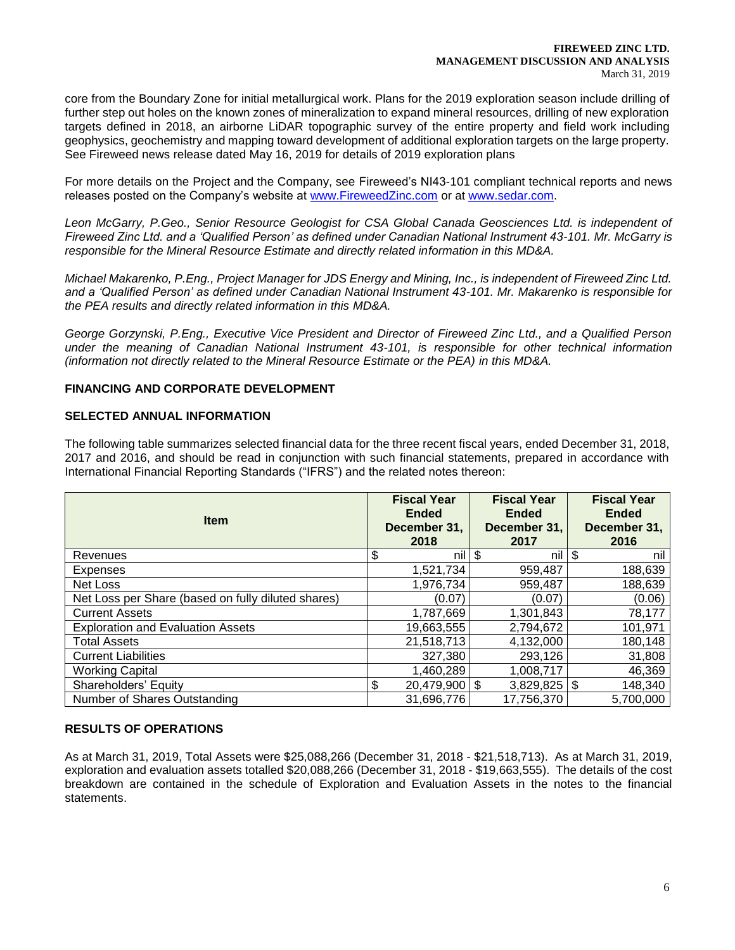core from the Boundary Zone for initial metallurgical work. Plans for the 2019 exploration season include drilling of further step out holes on the known zones of mineralization to expand mineral resources, drilling of new exploration targets defined in 2018, an airborne LiDAR topographic survey of the entire property and field work including geophysics, geochemistry and mapping toward development of additional exploration targets on the large property. See Fireweed news release dated May 16, 2019 for details of 2019 exploration plans

For more details on the Project and the Company, see Fireweed's NI43-101 compliant technical reports and news releases posted on the Company's website at [www.FireweedZinc.com](http://www.fireweedzinc.com/) or at [www.sedar.com.](http://www.sedar.com/)

*Leon McGarry, P.Geo., Senior Resource Geologist for CSA Global Canada Geosciences Ltd. is independent of Fireweed Zinc Ltd. and a 'Qualified Person' as defined under Canadian National Instrument 43-101. Mr. McGarry is responsible for the Mineral Resource Estimate and directly related information in this MD&A.* 

*Michael Makarenko, P.Eng., Project Manager for JDS Energy and Mining, Inc., is independent of Fireweed Zinc Ltd. and a 'Qualified Person' as defined under Canadian National Instrument 43-101. Mr. Makarenko is responsible for the PEA results and directly related information in this MD&A.*

*George Gorzynski, P.Eng., Executive Vice President and Director of Fireweed Zinc Ltd., and a Qualified Person under the meaning of Canadian National Instrument 43-101, is responsible for other technical information (information not directly related to the Mineral Resource Estimate or the PEA) in this MD&A.*

# **FINANCING AND CORPORATE DEVELOPMENT**

## **SELECTED ANNUAL INFORMATION**

The following table summarizes selected financial data for the three recent fiscal years, ended December 31, 2018, 2017 and 2016, and should be read in conjunction with such financial statements, prepared in accordance with International Financial Reporting Standards ("IFRS") and the related notes thereon:

| <b>Item</b>                                        | <b>Fiscal Year</b><br><b>Ended</b><br>December 31,<br>2018 | <b>Fiscal Year</b><br><b>Ended</b><br>December 31,<br>2017 | <b>Fiscal Year</b><br><b>Ended</b><br>December 31,<br>2016 |
|----------------------------------------------------|------------------------------------------------------------|------------------------------------------------------------|------------------------------------------------------------|
| Revenues                                           | \$<br>nil l                                                | \$<br>nil                                                  | \$<br>nil                                                  |
| Expenses                                           | 1,521,734                                                  | 959,487                                                    | 188,639                                                    |
| Net Loss                                           | 1,976,734                                                  | 959,487                                                    | 188,639                                                    |
| Net Loss per Share (based on fully diluted shares) | (0.07)                                                     | (0.07)                                                     | (0.06)                                                     |
| <b>Current Assets</b>                              | 1,787,669                                                  | 1,301,843                                                  | 78,177                                                     |
| <b>Exploration and Evaluation Assets</b>           | 19,663,555                                                 | 2,794,672                                                  | 101,971                                                    |
| <b>Total Assets</b>                                | 21,518,713                                                 | 4,132,000                                                  | 180,148                                                    |
| <b>Current Liabilities</b>                         | 327,380                                                    | 293,126                                                    | 31,808                                                     |
| <b>Working Capital</b>                             | 1,460,289                                                  | 1,008,717                                                  | 46,369                                                     |
| Shareholders' Equity                               | \$<br>$20,479,900$ \$                                      | $3,829,825$ \$                                             | 148,340                                                    |
| Number of Shares Outstanding                       | 31,696,776                                                 | 17,756,370                                                 | 5,700,000                                                  |

## **RESULTS OF OPERATIONS**

As at March 31, 2019, Total Assets were \$25,088,266 (December 31, 2018 - \$21,518,713). As at March 31, 2019, exploration and evaluation assets totalled \$20,088,266 (December 31, 2018 - \$19,663,555). The details of the cost breakdown are contained in the schedule of Exploration and Evaluation Assets in the notes to the financial statements.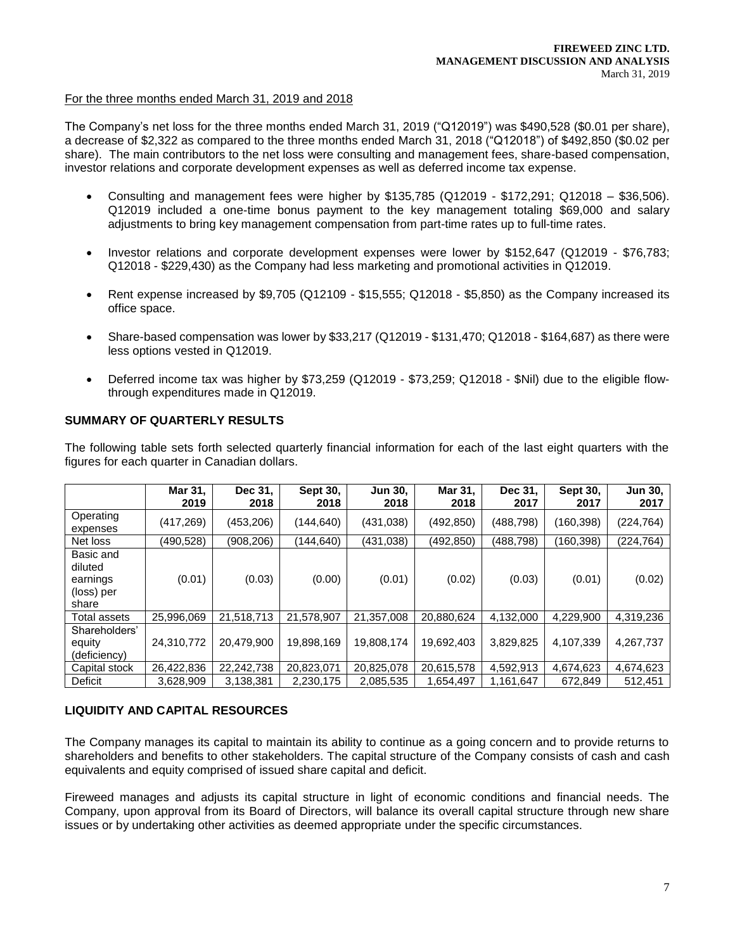#### For the three months ended March 31, 2019 and 2018

The Company's net loss for the three months ended March 31, 2019 ("Q12019") was \$490,528 (\$0.01 per share), a decrease of \$2,322 as compared to the three months ended March 31, 2018 ("Q12018") of \$492,850 (\$0.02 per share). The main contributors to the net loss were consulting and management fees, share-based compensation, investor relations and corporate development expenses as well as deferred income tax expense.

- Consulting and management fees were higher by \$135,785 (Q12019 \$172,291; Q12018 \$36,506). Q12019 included a one-time bonus payment to the key management totaling \$69,000 and salary adjustments to bring key management compensation from part-time rates up to full-time rates.
- Investor relations and corporate development expenses were lower by \$152,647 (Q12019 \$76,783; Q12018 - \$229,430) as the Company had less marketing and promotional activities in Q12019.
- Rent expense increased by \$9,705 (Q12109 \$15,555; Q12018 \$5,850) as the Company increased its office space.
- Share-based compensation was lower by \$33,217 (Q12019 \$131,470; Q12018 \$164,687) as there were less options vested in Q12019.
- Deferred income tax was higher by \$73,259 (Q12019 \$73,259; Q12018 \$Nil) due to the eligible flowthrough expenditures made in Q12019.

## **SUMMARY OF QUARTERLY RESULTS**

The following table sets forth selected quarterly financial information for each of the last eight quarters with the figures for each quarter in Canadian dollars.

|                                                         | Mar 31,<br>2019 | Dec 31,<br>2018 | Sept 30,<br>2018 | <b>Jun 30,</b><br>2018 | Mar 31,<br>2018 | Dec 31,<br>2017 | Sept 30,<br>2017 | <b>Jun 30,</b><br>2017 |
|---------------------------------------------------------|-----------------|-----------------|------------------|------------------------|-----------------|-----------------|------------------|------------------------|
| Operating<br>expenses                                   | (417, 269)      | (453,206)       | (144, 640)       | (431,038)              | (492, 850)      | (488, 798)      | (160,398)        | (224, 764)             |
| Net loss                                                | (490,528)       | (908, 206)      | (144,640)        | (431,038)              | (492, 850)      | (488, 798)      | (160, 398)       | (224,764)              |
| Basic and<br>diluted<br>earnings<br>(loss) per<br>share | (0.01)          | (0.03)          | (0.00)           | (0.01)                 | (0.02)          | (0.03)          | (0.01)           | (0.02)                 |
| Total assets                                            | 25,996,069      | 21,518,713      | 21,578,907       | 21,357,008             | 20,880,624      | 4,132,000       | 4,229,900        | 4,319,236              |
| Shareholders'<br>equity<br>(deficiency)                 | 24,310,772      | 20,479,900      | 19,898,169       | 19,808,174             | 19,692,403      | 3,829,825       | 4,107,339        | 4,267,737              |
| Capital stock                                           | 26,422,836      | 22,242,738      | 20,823,071       | 20,825,078             | 20,615,578      | 4,592,913       | 4,674,623        | 4,674,623              |
| Deficit                                                 | 3,628,909       | 3,138,381       | 2,230,175        | 2,085,535              | 1,654,497       | 1,161,647       | 672,849          | 512,451                |

## **LIQUIDITY AND CAPITAL RESOURCES**

The Company manages its capital to maintain its ability to continue as a going concern and to provide returns to shareholders and benefits to other stakeholders. The capital structure of the Company consists of cash and cash equivalents and equity comprised of issued share capital and deficit.

Fireweed manages and adjusts its capital structure in light of economic conditions and financial needs. The Company, upon approval from its Board of Directors, will balance its overall capital structure through new share issues or by undertaking other activities as deemed appropriate under the specific circumstances.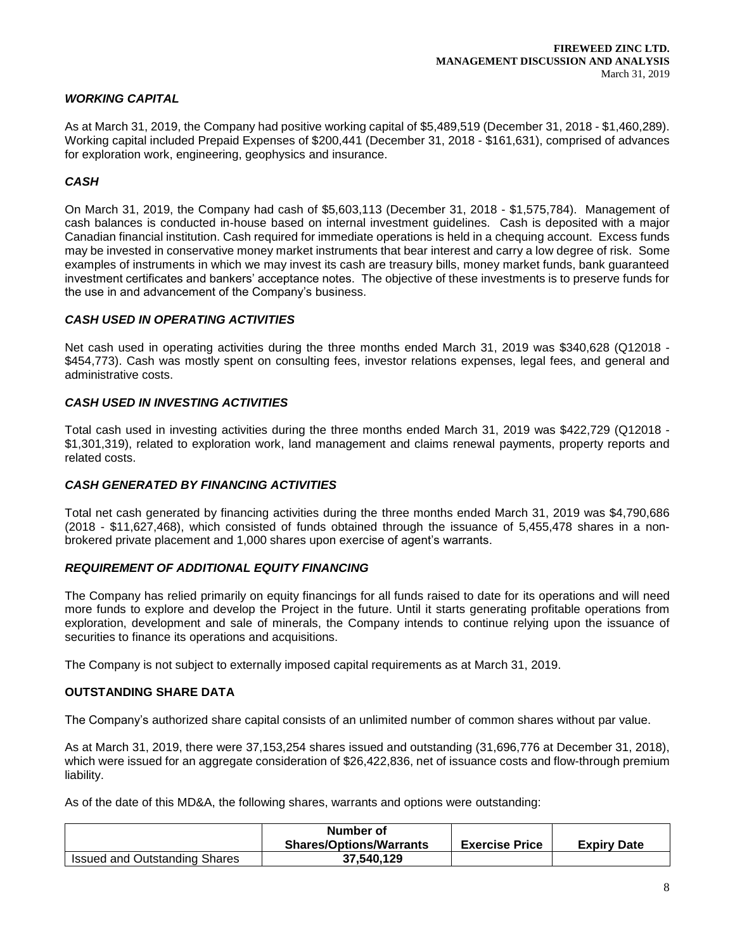# *WORKING CAPITAL*

As at March 31, 2019, the Company had positive working capital of \$5,489,519 (December 31, 2018 - \$1,460,289). Working capital included Prepaid Expenses of \$200,441 (December 31, 2018 - \$161,631), comprised of advances for exploration work, engineering, geophysics and insurance.

# *CASH*

On March 31, 2019, the Company had cash of \$5,603,113 (December 31, 2018 - \$1,575,784). Management of cash balances is conducted in-house based on internal investment guidelines. Cash is deposited with a major Canadian financial institution. Cash required for immediate operations is held in a chequing account. Excess funds may be invested in conservative money market instruments that bear interest and carry a low degree of risk. Some examples of instruments in which we may invest its cash are treasury bills, money market funds, bank guaranteed investment certificates and bankers' acceptance notes. The objective of these investments is to preserve funds for the use in and advancement of the Company's business.

## *CASH USED IN OPERATING ACTIVITIES*

Net cash used in operating activities during the three months ended March 31, 2019 was \$340,628 (Q12018 - \$454,773). Cash was mostly spent on consulting fees, investor relations expenses, legal fees, and general and administrative costs.

# *CASH USED IN INVESTING ACTIVITIES*

Total cash used in investing activities during the three months ended March 31, 2019 was \$422,729 (Q12018 - \$1,301,319), related to exploration work, land management and claims renewal payments, property reports and related costs.

## *CASH GENERATED BY FINANCING ACTIVITIES*

Total net cash generated by financing activities during the three months ended March 31, 2019 was \$4,790,686 (2018 - \$11,627,468), which consisted of funds obtained through the issuance of 5,455,478 shares in a nonbrokered private placement and 1,000 shares upon exercise of agent's warrants.

## *REQUIREMENT OF ADDITIONAL EQUITY FINANCING*

The Company has relied primarily on equity financings for all funds raised to date for its operations and will need more funds to explore and develop the Project in the future. Until it starts generating profitable operations from exploration, development and sale of minerals, the Company intends to continue relying upon the issuance of securities to finance its operations and acquisitions.

The Company is not subject to externally imposed capital requirements as at March 31, 2019.

# **OUTSTANDING SHARE DATA**

The Company's authorized share capital consists of an unlimited number of common shares without par value.

As at March 31, 2019, there were 37,153,254 shares issued and outstanding (31,696,776 at December 31, 2018), which were issued for an aggregate consideration of \$26,422,836, net of issuance costs and flow-through premium liability.

As of the date of this MD&A, the following shares, warrants and options were outstanding:

|                                      | Number of<br><b>Shares/Options/Warrants</b> | <b>Exercise Price</b> | <b>Expiry Date</b> |
|--------------------------------------|---------------------------------------------|-----------------------|--------------------|
| <b>Issued and Outstanding Shares</b> | 37,540,129                                  |                       |                    |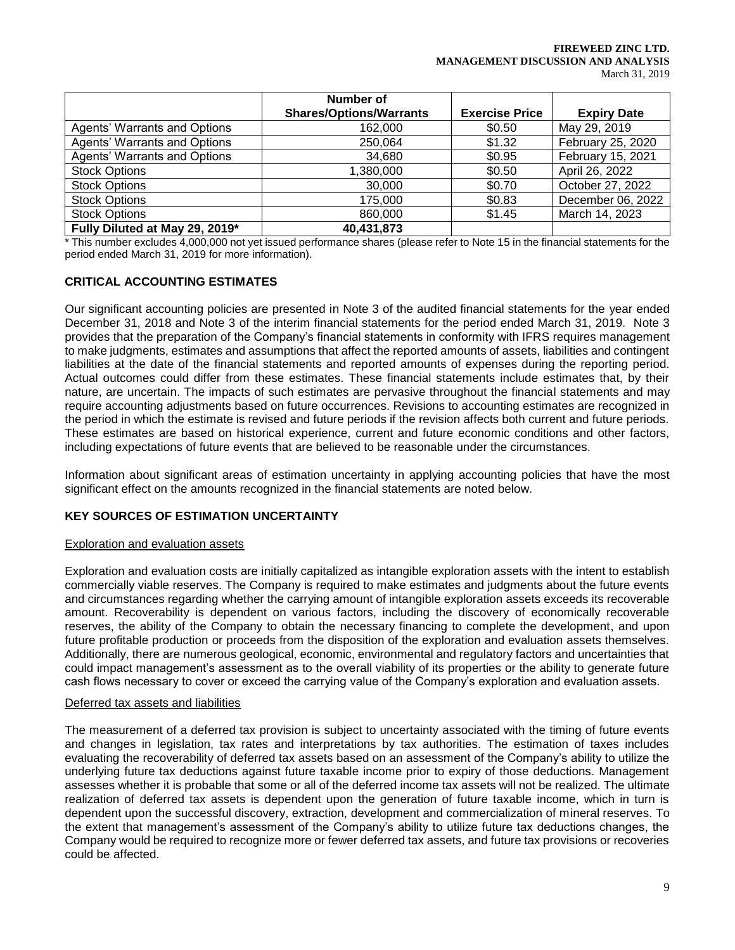#### **FIREWEED ZINC LTD. MANAGEMENT DISCUSSION AND ANALYSIS** March 31, 2019

|                                     | Number of                      |                       |                    |
|-------------------------------------|--------------------------------|-----------------------|--------------------|
|                                     | <b>Shares/Options/Warrants</b> | <b>Exercise Price</b> | <b>Expiry Date</b> |
| Agents' Warrants and Options        | 162,000                        | \$0.50                | May 29, 2019       |
| <b>Agents' Warrants and Options</b> | 250,064                        | \$1.32                | February 25, 2020  |
| Agents' Warrants and Options        | 34,680                         | \$0.95                | February 15, 2021  |
| <b>Stock Options</b>                | 1,380,000                      | \$0.50                | April 26, 2022     |
| <b>Stock Options</b>                | 30,000                         | \$0.70                | October 27, 2022   |
| <b>Stock Options</b>                | 175,000                        | \$0.83                | December 06, 2022  |
| <b>Stock Options</b>                | 860,000                        | \$1.45                | March 14, 2023     |
| Fully Diluted at May 29, 2019*      | 40,431,873                     |                       |                    |

\* This number excludes 4,000,000 not yet issued performance shares (please refer to Note 15 in the financial statements for the period ended March 31, 2019 for more information).

## **CRITICAL ACCOUNTING ESTIMATES**

Our significant accounting policies are presented in Note 3 of the audited financial statements for the year ended December 31, 2018 and Note 3 of the interim financial statements for the period ended March 31, 2019. Note 3 provides that the preparation of the Company's financial statements in conformity with IFRS requires management to make judgments, estimates and assumptions that affect the reported amounts of assets, liabilities and contingent liabilities at the date of the financial statements and reported amounts of expenses during the reporting period. Actual outcomes could differ from these estimates. These financial statements include estimates that, by their nature, are uncertain. The impacts of such estimates are pervasive throughout the financial statements and may require accounting adjustments based on future occurrences. Revisions to accounting estimates are recognized in the period in which the estimate is revised and future periods if the revision affects both current and future periods. These estimates are based on historical experience, current and future economic conditions and other factors, including expectations of future events that are believed to be reasonable under the circumstances.

Information about significant areas of estimation uncertainty in applying accounting policies that have the most significant effect on the amounts recognized in the financial statements are noted below.

## **KEY SOURCES OF ESTIMATION UNCERTAINTY**

## Exploration and evaluation assets

Exploration and evaluation costs are initially capitalized as intangible exploration assets with the intent to establish commercially viable reserves. The Company is required to make estimates and judgments about the future events and circumstances regarding whether the carrying amount of intangible exploration assets exceeds its recoverable amount. Recoverability is dependent on various factors, including the discovery of economically recoverable reserves, the ability of the Company to obtain the necessary financing to complete the development, and upon future profitable production or proceeds from the disposition of the exploration and evaluation assets themselves. Additionally, there are numerous geological, economic, environmental and regulatory factors and uncertainties that could impact management's assessment as to the overall viability of its properties or the ability to generate future cash flows necessary to cover or exceed the carrying value of the Company's exploration and evaluation assets.

#### Deferred tax assets and liabilities

The measurement of a deferred tax provision is subject to uncertainty associated with the timing of future events and changes in legislation, tax rates and interpretations by tax authorities. The estimation of taxes includes evaluating the recoverability of deferred tax assets based on an assessment of the Company's ability to utilize the underlying future tax deductions against future taxable income prior to expiry of those deductions. Management assesses whether it is probable that some or all of the deferred income tax assets will not be realized. The ultimate realization of deferred tax assets is dependent upon the generation of future taxable income, which in turn is dependent upon the successful discovery, extraction, development and commercialization of mineral reserves. To the extent that management's assessment of the Company's ability to utilize future tax deductions changes, the Company would be required to recognize more or fewer deferred tax assets, and future tax provisions or recoveries could be affected.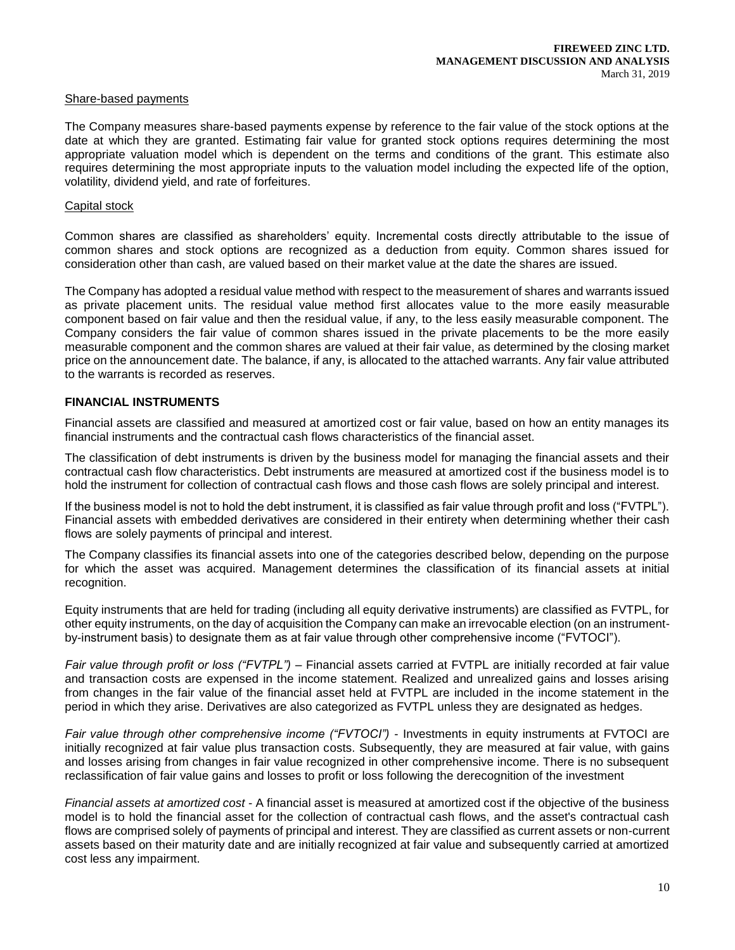#### Share-based payments

The Company measures share-based payments expense by reference to the fair value of the stock options at the date at which they are granted. Estimating fair value for granted stock options requires determining the most appropriate valuation model which is dependent on the terms and conditions of the grant. This estimate also requires determining the most appropriate inputs to the valuation model including the expected life of the option, volatility, dividend yield, and rate of forfeitures.

#### Capital stock

Common shares are classified as shareholders' equity. Incremental costs directly attributable to the issue of common shares and stock options are recognized as a deduction from equity. Common shares issued for consideration other than cash, are valued based on their market value at the date the shares are issued.

The Company has adopted a residual value method with respect to the measurement of shares and warrants issued as private placement units. The residual value method first allocates value to the more easily measurable component based on fair value and then the residual value, if any, to the less easily measurable component. The Company considers the fair value of common shares issued in the private placements to be the more easily measurable component and the common shares are valued at their fair value, as determined by the closing market price on the announcement date. The balance, if any, is allocated to the attached warrants. Any fair value attributed to the warrants is recorded as reserves.

# **FINANCIAL INSTRUMENTS**

Financial assets are classified and measured at amortized cost or fair value, based on how an entity manages its financial instruments and the contractual cash flows characteristics of the financial asset.

The classification of debt instruments is driven by the business model for managing the financial assets and their contractual cash flow characteristics. Debt instruments are measured at amortized cost if the business model is to hold the instrument for collection of contractual cash flows and those cash flows are solely principal and interest.

If the business model is not to hold the debt instrument, it is classified as fair value through profit and loss ("FVTPL"). Financial assets with embedded derivatives are considered in their entirety when determining whether their cash flows are solely payments of principal and interest.

The Company classifies its financial assets into one of the categories described below, depending on the purpose for which the asset was acquired. Management determines the classification of its financial assets at initial recognition.

Equity instruments that are held for trading (including all equity derivative instruments) are classified as FVTPL, for other equity instruments, on the day of acquisition the Company can make an irrevocable election (on an instrumentby-instrument basis) to designate them as at fair value through other comprehensive income ("FVTOCI").

*Fair value through profit or loss ("FVTPL")* – Financial assets carried at FVTPL are initially recorded at fair value and transaction costs are expensed in the income statement. Realized and unrealized gains and losses arising from changes in the fair value of the financial asset held at FVTPL are included in the income statement in the period in which they arise. Derivatives are also categorized as FVTPL unless they are designated as hedges.

*Fair value through other comprehensive income ("FVTOCI")* - Investments in equity instruments at FVTOCI are initially recognized at fair value plus transaction costs. Subsequently, they are measured at fair value, with gains and losses arising from changes in fair value recognized in other comprehensive income. There is no subsequent reclassification of fair value gains and losses to profit or loss following the derecognition of the investment

*Financial assets at amortized cost* - A financial asset is measured at amortized cost if the objective of the business model is to hold the financial asset for the collection of contractual cash flows, and the asset's contractual cash flows are comprised solely of payments of principal and interest. They are classified as current assets or non-current assets based on their maturity date and are initially recognized at fair value and subsequently carried at amortized cost less any impairment.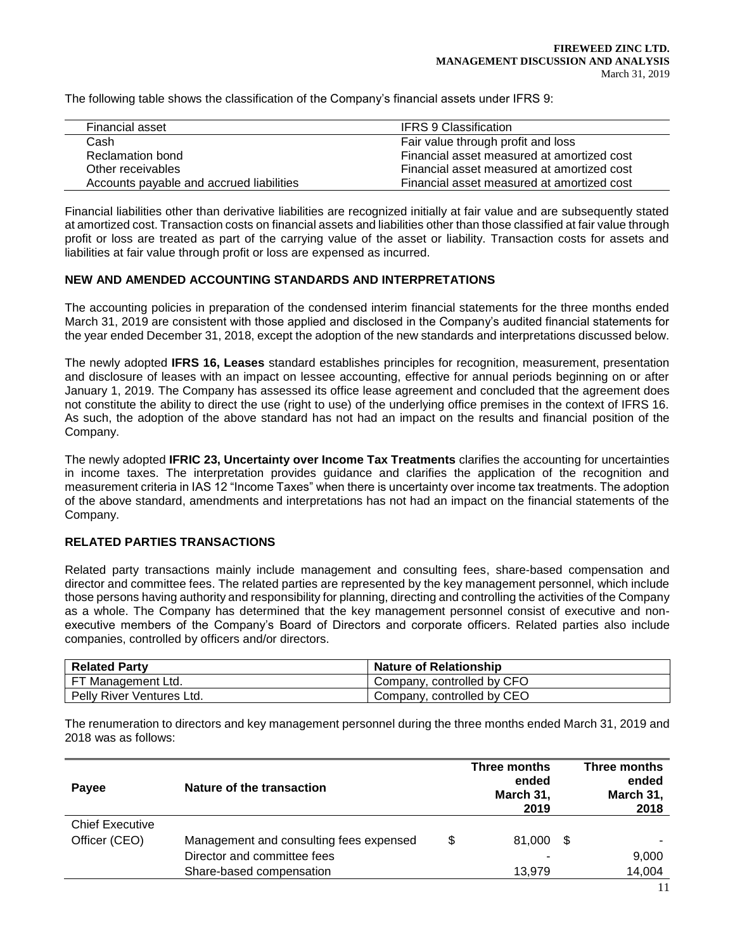The following table shows the classification of the Company's financial assets under IFRS 9:

| Financial asset                          | <b>IFRS 9 Classification</b>               |
|------------------------------------------|--------------------------------------------|
| Cash                                     | Fair value through profit and loss         |
| Reclamation bond                         | Financial asset measured at amortized cost |
| Other receivables                        | Financial asset measured at amortized cost |
| Accounts payable and accrued liabilities | Financial asset measured at amortized cost |

Financial liabilities other than derivative liabilities are recognized initially at fair value and are subsequently stated at amortized cost. Transaction costs on financial assets and liabilities other than those classified at fair value through profit or loss are treated as part of the carrying value of the asset or liability. Transaction costs for assets and liabilities at fair value through profit or loss are expensed as incurred.

# **NEW AND AMENDED ACCOUNTING STANDARDS AND INTERPRETATIONS**

The accounting policies in preparation of the condensed interim financial statements for the three months ended March 31, 2019 are consistent with those applied and disclosed in the Company's audited financial statements for the year ended December 31, 2018, except the adoption of the new standards and interpretations discussed below.

The newly adopted **IFRS 16, Leases** standard establishes principles for recognition, measurement, presentation and disclosure of leases with an impact on lessee accounting, effective for annual periods beginning on or after January 1, 2019. The Company has assessed its office lease agreement and concluded that the agreement does not constitute the ability to direct the use (right to use) of the underlying office premises in the context of IFRS 16. As such, the adoption of the above standard has not had an impact on the results and financial position of the Company.

The newly adopted **IFRIC 23, Uncertainty over Income Tax Treatments** clarifies the accounting for uncertainties in income taxes. The interpretation provides guidance and clarifies the application of the recognition and measurement criteria in IAS 12 "Income Taxes" when there is uncertainty over income tax treatments. The adoption of the above standard, amendments and interpretations has not had an impact on the financial statements of the Company.

# **RELATED PARTIES TRANSACTIONS**

Related party transactions mainly include management and consulting fees, share-based compensation and director and committee fees. The related parties are represented by the key management personnel, which include those persons having authority and responsibility for planning, directing and controlling the activities of the Company as a whole. The Company has determined that the key management personnel consist of executive and nonexecutive members of the Company's Board of Directors and corporate officers. Related parties also include companies, controlled by officers and/or directors.

| <b>Related Party</b>                   | Nature of Relationship     |
|----------------------------------------|----------------------------|
| FT Management Ltd.                     | Company, controlled by CFO |
| <sup>1</sup> Pelly River Ventures Ltd. | Company, controlled by CEO |

The renumeration to directors and key management personnel during the three months ended March 31, 2019 and 2018 was as follows:

| Nature of the transaction<br>Payee      |                                         | Three months<br>ended<br>March 31,<br>2019 |  | Three months<br>ended<br>March 31,<br>2018 |
|-----------------------------------------|-----------------------------------------|--------------------------------------------|--|--------------------------------------------|
| <b>Chief Executive</b><br>Officer (CEO) | Management and consulting fees expensed | \$<br>81,000 \$                            |  |                                            |
|                                         | Director and committee fees             |                                            |  | 9,000                                      |
|                                         | Share-based compensation                | 13,979                                     |  | 14,004                                     |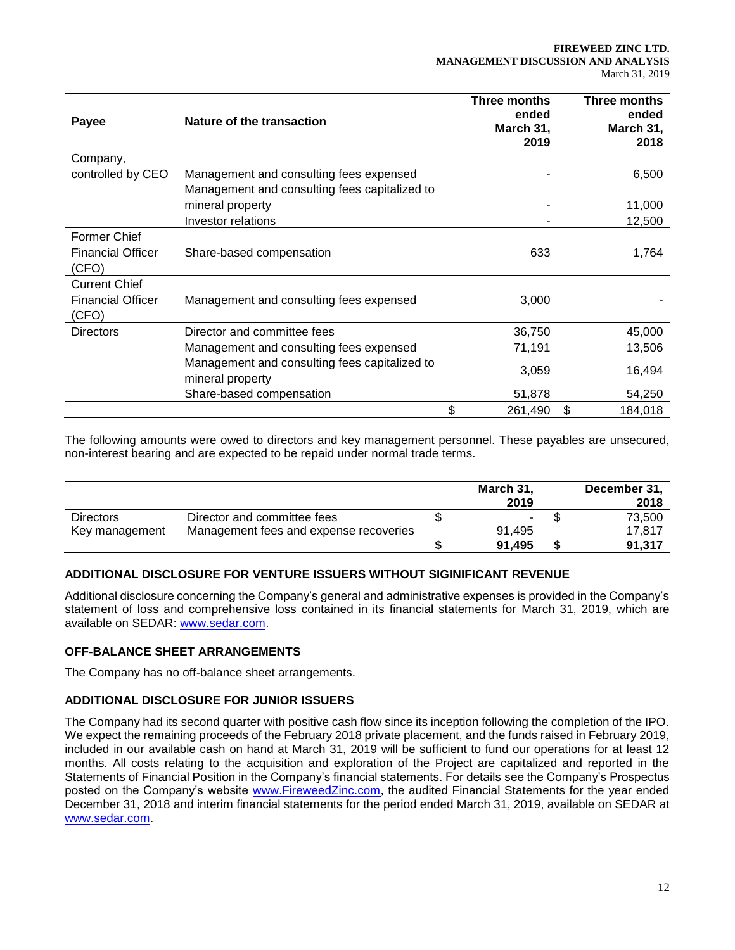| Payee                             | Nature of the transaction                                         | Three months<br>ended<br>March 31,<br>2019 | Three months<br>ended<br>March 31,<br>2018 |
|-----------------------------------|-------------------------------------------------------------------|--------------------------------------------|--------------------------------------------|
| Company,                          |                                                                   |                                            |                                            |
| controlled by CEO                 | Management and consulting fees expensed                           |                                            | 6,500                                      |
|                                   | Management and consulting fees capitalized to                     |                                            |                                            |
|                                   | mineral property                                                  |                                            | 11,000                                     |
|                                   | <b>Investor relations</b>                                         |                                            | 12,500                                     |
| <b>Former Chief</b>               |                                                                   |                                            |                                            |
| <b>Financial Officer</b><br>(CFO) | Share-based compensation                                          | 633                                        | 1,764                                      |
| <b>Current Chief</b>              |                                                                   |                                            |                                            |
| <b>Financial Officer</b><br>(CFO) | Management and consulting fees expensed                           | 3,000                                      |                                            |
| <b>Directors</b>                  | Director and committee fees                                       | 36,750                                     | 45,000                                     |
|                                   | Management and consulting fees expensed                           | 71,191                                     | 13,506                                     |
|                                   | Management and consulting fees capitalized to<br>mineral property | 3,059                                      | 16,494                                     |
|                                   | Share-based compensation                                          | 51,878                                     | 54,250                                     |
|                                   |                                                                   | \$<br>261,490                              | \$<br>184,018                              |

The following amounts were owed to directors and key management personnel. These payables are unsecured, non-interest bearing and are expected to be repaid under normal trade terms.

|                  |                                        | March 31,<br>2019 | December 31,<br>2018 |
|------------------|----------------------------------------|-------------------|----------------------|
| <b>Directors</b> | Director and committee fees            | ۰                 | 73,500               |
| Key management   | Management fees and expense recoveries | 91.495            | 17.817               |
|                  |                                        | 91.495            | 91,317               |

# **ADDITIONAL DISCLOSURE FOR VENTURE ISSUERS WITHOUT SIGINIFICANT REVENUE**

Additional disclosure concerning the Company's general and administrative expenses is provided in the Company's statement of loss and comprehensive loss contained in its financial statements for March 31, 2019, which are available on SEDAR: [www.sedar.com.](http://www.sedar.com/)

## **OFF-BALANCE SHEET ARRANGEMENTS**

The Company has no off-balance sheet arrangements.

# **ADDITIONAL DISCLOSURE FOR JUNIOR ISSUERS**

The Company had its second quarter with positive cash flow since its inception following the completion of the IPO. We expect the remaining proceeds of the February 2018 private placement, and the funds raised in February 2019, included in our available cash on hand at March 31, 2019 will be sufficient to fund our operations for at least 12 months. All costs relating to the acquisition and exploration of the Project are capitalized and reported in the Statements of Financial Position in the Company's financial statements. For details see the Company's Prospectus posted on the Company's website [www.FireweedZinc.com,](http://www.fireweedzinc.com/) the audited Financial Statements for the year ended December 31, 2018 and interim financial statements for the period ended March 31, 2019, available on SEDAR at [www.sedar.com.](http://www.sedar.com/)